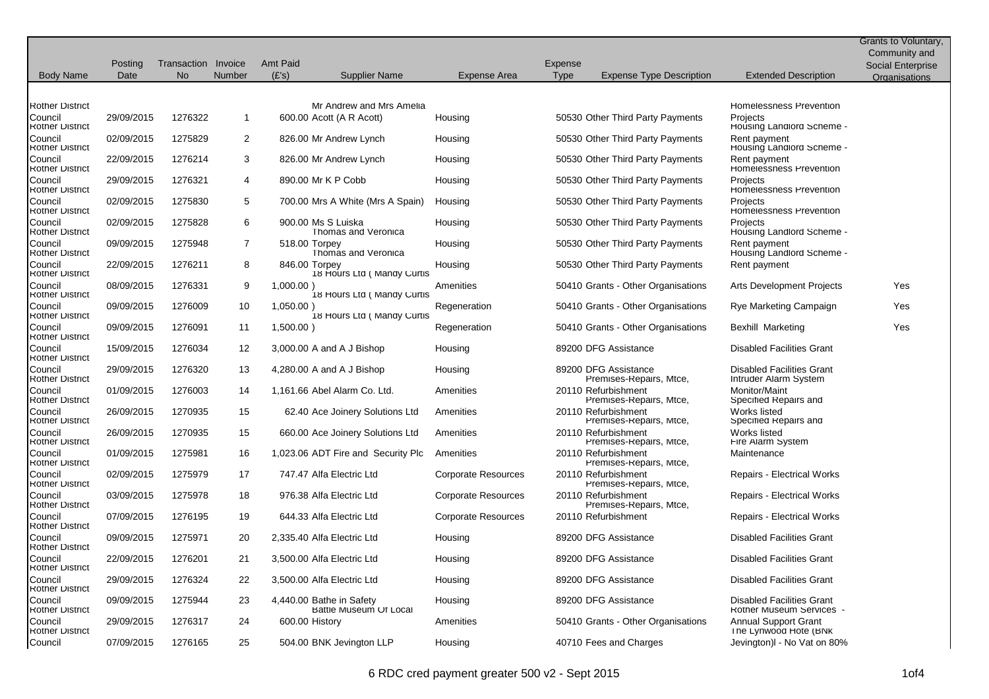|                                          |            |                     |               |                 |                                                    |                            |             |                                                 |                                                              | Grants to Voluntary, |
|------------------------------------------|------------|---------------------|---------------|-----------------|----------------------------------------------------|----------------------------|-------------|-------------------------------------------------|--------------------------------------------------------------|----------------------|
|                                          |            |                     |               |                 |                                                    |                            |             |                                                 |                                                              | Community and        |
|                                          | Posting    | Transaction Invoice |               | <b>Amt Paid</b> |                                                    |                            | Expense     |                                                 |                                                              | Social Enterprise    |
| <b>Body Name</b>                         | Date       | <b>No</b>           | <b>Number</b> | (E's)           | <b>Supplier Name</b>                               | Expense Area               | <b>Type</b> | <b>Expense Type Description</b>                 | <b>Extended Description</b>                                  | <b>Organisations</b> |
|                                          |            |                     |               |                 |                                                    |                            |             |                                                 |                                                              |                      |
| <b>Kother District</b>                   |            |                     |               |                 | Mr Andrew and Mrs Amelia                           |                            |             |                                                 | <b>Homelessness Prevention</b>                               |                      |
| Council<br><b>Rother District</b>        | 29/09/2015 | 1276322             | $\mathbf{1}$  |                 | 600.00 Acott (A R Acott)                           | Housing                    |             | 50530 Other Third Party Payments                | Projects<br>Housing Landlord Scheme -                        |                      |
| Council<br><b>Rother District</b>        | 02/09/2015 | 1275829             | 2             |                 | 826.00 Mr Andrew Lynch                             | Housing                    |             | 50530 Other Third Party Payments                | Rent payment<br>Housing Landlord Scheme -                    |                      |
| Council<br><b>Rother District</b>        | 22/09/2015 | 1276214             | 3             |                 | 826.00 Mr Andrew Lynch                             | Housing                    |             | 50530 Other Third Party Payments                | Rent payment<br>Homelessness Prevention                      |                      |
| Council<br><b>Rother District</b>        | 29/09/2015 | 1276321             | 4             |                 | 890.00 Mr K P Cobb                                 | Housing                    |             | 50530 Other Third Party Payments                | Projects<br><b>Homelessness Prevention</b>                   |                      |
| Council<br><b>Rother District</b>        | 02/09/2015 | 1275830             | 5             |                 | 700.00 Mrs A White (Mrs A Spain)                   | Housing                    |             | 50530 Other Third Party Payments                | Projects<br><b>Homelessness Prevention</b>                   |                      |
| Council<br><b>Rother District</b>        | 02/09/2015 | 1275828             | 6             |                 | 900.00 Ms S Luiska<br>I homas and Veronica         | Housing                    |             | 50530 Other Third Party Payments                | Projects<br>Housing Landlord Scheme -                        |                      |
| Council<br><b>Rother District</b>        | 09/09/2015 | 1275948             | 7             | 518.00 Torpey   | I homas and Veronica                               | Housing                    |             | 50530 Other Third Party Payments                | Rent payment<br>Housing Landlord Scheme -                    |                      |
| Council<br><b>Rother District</b>        | 22/09/2015 | 1276211             | 8             | 846.00 Torpey   | 18 Hours Ltd ( Mandy Curtis                        | Housing                    |             | 50530 Other Third Party Payments                | Rent payment                                                 |                      |
| Council<br><b>Rother District</b>        | 08/09/2015 | 1276331             | 9             | 1,000.00)       | 18 Hours Ltd ( Mandy Curtis                        | Amenities                  |             | 50410 Grants - Other Organisations              | Arts Development Projects                                    | Yes                  |
| Council<br><b>Rother District</b>        | 09/09/2015 | 1276009             | 10            | $1,050.00$ )    | 18 Hours Ltd ( Mandy Curtis                        | Regeneration               |             | 50410 Grants - Other Organisations              | Rye Marketing Campaign                                       | Yes                  |
| Council<br><b>Rother District</b>        | 09/09/2015 | 1276091             | 11            | 1,500.00)       |                                                    | Regeneration               |             | 50410 Grants - Other Organisations              | Bexhill Marketing                                            | Yes                  |
| Council<br><b>Rother District</b>        | 15/09/2015 | 1276034             | 12            |                 | 3,000.00 A and A J Bishop                          | Housing                    |             | 89200 DFG Assistance                            | <b>Disabled Facilities Grant</b>                             |                      |
| Council<br><b>Rother District</b>        | 29/09/2015 | 1276320             | 13            |                 | 4,280.00 A and A J Bishop                          | Housing                    |             | 89200 DFG Assistance<br>Premises-Repairs, Mtce, | <b>Disabled Facilities Grant</b><br>Intruder Alarm System    |                      |
| <b>Council</b><br><b>Rother District</b> | 01/09/2015 | 1276003             | 14            |                 | 1,161.66 Abel Alarm Co. Ltd.                       | Amenities                  |             | 20110 Refurbishment<br>Premises-Repairs, Mtce,  | Monitor/Maint<br>Specified Repairs and                       |                      |
| Council<br><b>Kother District</b>        | 26/09/2015 | 1270935             | 15            |                 | 62.40 Ace Joinery Solutions Ltd                    | Amenities                  |             | 20110 Refurbishment<br>Premises-Repairs, Mtce,  | Works listed<br>Specified Repairs and                        |                      |
| Council<br><b>Rother District</b>        | 26/09/2015 | 1270935             | 15            |                 | 660.00 Ace Joinery Solutions Ltd                   | Amenities                  |             | 20110 Refurbishment<br>Premises-Repairs, Mtce,  | Works listed<br>Fire Alarm System                            |                      |
| Council<br><b>Rother District</b>        | 01/09/2015 | 1275981             | 16            |                 | 1,023.06 ADT Fire and Security Plc                 | Amenities                  |             | 20110 Refurbishment<br>Premises-Repairs, Mtce,  | Maintenance                                                  |                      |
| Council<br><b>Rother District</b>        | 02/09/2015 | 1275979             | 17            |                 | 747.47 Alfa Electric Ltd                           | <b>Corporate Resources</b> |             | 20110 Refurbishment<br>Premises-Repairs, Mtce,  | <b>Repairs - Electrical Works</b>                            |                      |
| Council<br><b>Rother District</b>        | 03/09/2015 | 1275978             | 18            |                 | 976.38 Alfa Electric Ltd                           | Corporate Resources        |             | 20110 Refurbishment<br>Premises-Repairs, Mtce,  | Repairs - Electrical Works                                   |                      |
| Council<br><b>Rother District</b>        | 07/09/2015 | 1276195             | 19            |                 | 644.33 Alfa Electric Ltd                           | <b>Corporate Resources</b> |             | 20110 Refurbishment                             | Repairs - Electrical Works                                   |                      |
| Council<br><b>Rother District</b>        | 09/09/2015 | 1275971             | 20            |                 | 2,335.40 Alfa Electric Ltd                         | Housing                    |             | 89200 DFG Assistance                            | <b>Disabled Facilities Grant</b>                             |                      |
| Council<br><b>Rother District</b>        | 22/09/2015 | 1276201             | 21            |                 | 3,500.00 Alfa Electric Ltd                         | Housing                    |             | 89200 DFG Assistance                            | <b>Disabled Facilities Grant</b>                             |                      |
| Council<br><b>Rother District</b>        | 29/09/2015 | 1276324             | 22            |                 | 3,500.00 Alfa Electric Ltd                         | Housing                    |             | 89200 DFG Assistance                            | <b>Disabled Facilities Grant</b>                             |                      |
| Council<br><b>Rother District</b>        | 09/09/2015 | 1275944             | 23            |                 | 4,440.00 Bathe in Safety<br>Battle Museum Of Local | Housing                    |             | 89200 DFG Assistance                            | <b>Disabled Facilities Grant</b><br>Rother Museum Services - |                      |
| Council<br><b>Rother District</b>        | 29/09/2015 | 1276317             | 24            | 600.00 History  |                                                    | Amenities                  |             | 50410 Grants - Other Organisations              | <b>Annual Support Grant</b><br>The Lynwood Hote (BNK         |                      |
| Council                                  | 07/09/2015 | 1276165             | 25            |                 | 504.00 BNK Jevington LLP                           | Housing                    |             | 40710 Fees and Charges                          | Jevington)I - No Vat on 80%                                  |                      |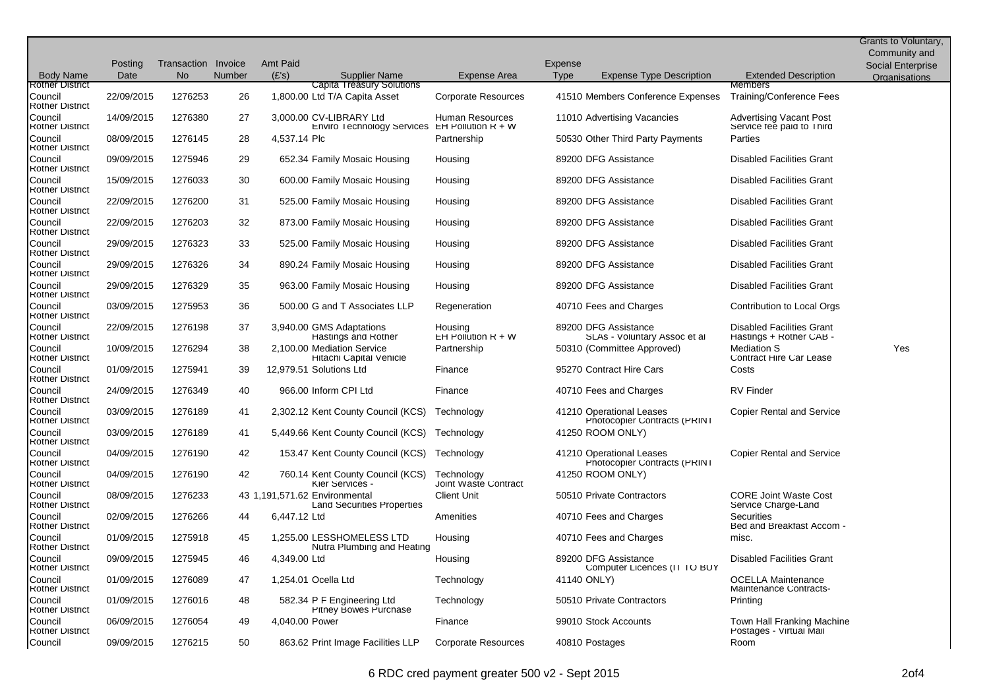| <b>Body Name</b>                  | Posting<br>Date | Transaction Invoice<br>No. | Number | <b>Amt Paid</b><br>(E's) | Supplier Name                                                            | Expense Area                       | Expense<br><b>Type</b> | <b>Expense Type Description</b>                          | <b>Extended Description</b>                                 | Grants to Voluntary,<br>Community and<br>Social Enterprise<br><b>Organisations</b> |
|-----------------------------------|-----------------|----------------------------|--------|--------------------------|--------------------------------------------------------------------------|------------------------------------|------------------------|----------------------------------------------------------|-------------------------------------------------------------|------------------------------------------------------------------------------------|
| <b>Rother District</b>            |                 |                            |        |                          | Capita Treasury Solutions                                                |                                    |                        |                                                          | Members                                                     |                                                                                    |
| Council<br><b>Rother District</b> | 22/09/2015      | 1276253                    | 26     |                          | 1,800.00 Ltd T/A Capita Asset                                            | Corporate Resources                |                        | 41510 Members Conference Expenses                        | Training/Conference Fees                                    |                                                                                    |
| Council<br><b>Rother District</b> | 14/09/2015      | 1276380                    | 27     |                          | 3,000.00 CV-LIBRARY Ltd<br>Enviro Technology Services EH Pollution R + W | Human Resources                    |                        | 11010 Advertising Vacancies                              | <b>Advertising Vacant Post</b><br>Service fee paid to Third |                                                                                    |
| Council<br><b>Rother District</b> | 08/09/2015      | 1276145                    | 28     | 4,537.14 Plc             |                                                                          | Partnership                        |                        | 50530 Other Third Party Payments                         | Parties                                                     |                                                                                    |
| Council<br><b>Rother District</b> | 09/09/2015      | 1275946                    | 29     |                          | 652.34 Family Mosaic Housing                                             | Housing                            |                        | 89200 DFG Assistance                                     | <b>Disabled Facilities Grant</b>                            |                                                                                    |
| Council<br><b>Rother District</b> | 15/09/2015      | 1276033                    | 30     |                          | 600.00 Family Mosaic Housing                                             | Housing                            |                        | 89200 DFG Assistance                                     | <b>Disabled Facilities Grant</b>                            |                                                                                    |
| Council<br><b>Rother District</b> | 22/09/2015      | 1276200                    | 31     |                          | 525.00 Family Mosaic Housing                                             | Housing                            |                        | 89200 DFG Assistance                                     | <b>Disabled Facilities Grant</b>                            |                                                                                    |
| Council<br><b>Rother District</b> | 22/09/2015      | 1276203                    | 32     |                          | 873.00 Family Mosaic Housing                                             | Housing                            |                        | 89200 DFG Assistance                                     | <b>Disabled Facilities Grant</b>                            |                                                                                    |
| Council<br><b>Rother District</b> | 29/09/2015      | 1276323                    | 33     |                          | 525.00 Family Mosaic Housing                                             | Housing                            |                        | 89200 DFG Assistance                                     | <b>Disabled Facilities Grant</b>                            |                                                                                    |
| Council<br><b>Rother District</b> | 29/09/2015      | 1276326                    | 34     |                          | 890.24 Family Mosaic Housing                                             | Housing                            |                        | 89200 DFG Assistance                                     | <b>Disabled Facilities Grant</b>                            |                                                                                    |
| Council<br><b>Rother District</b> | 29/09/2015      | 1276329                    | 35     |                          | 963.00 Family Mosaic Housing                                             | Housing                            |                        | 89200 DFG Assistance                                     | <b>Disabled Facilities Grant</b>                            |                                                                                    |
| Council<br><b>Rother District</b> | 03/09/2015      | 1275953                    | 36     |                          | 500.00 G and T Associates LLP                                            | Regeneration                       |                        | 40710 Fees and Charges                                   | Contribution to Local Orgs                                  |                                                                                    |
| Council<br><b>Rother District</b> | 22/09/2015      | 1276198                    | 37     |                          | 3,940.00 GMS Adaptations<br>Hastings and Rother                          | Housing<br>$EH$ Pollution $R + W$  |                        | 89200 DFG Assistance<br>SLAs - Voluntary Assoc et al     | <b>Disabled Facilities Grant</b><br>Hastings + Rother CAB - |                                                                                    |
| Council<br><b>Rother District</b> | 10/09/2015      | 1276294                    | 38     |                          | 2,100.00 Mediation Service<br>Hitachi Capital Vehicle                    | Partnership                        |                        | 50310 (Committee Approved)                               | <b>Mediation S</b><br>Contract Hire Car Lease               | Yes                                                                                |
| Council<br><b>Rother District</b> | 01/09/2015      | 1275941                    | 39     |                          | 12,979.51 Solutions Ltd                                                  | Finance                            |                        | 95270 Contract Hire Cars                                 | Costs                                                       |                                                                                    |
| Council<br><b>Rother District</b> | 24/09/2015      | 1276349                    | 40     |                          | 966.00 Inform CPI Ltd                                                    | Finance                            |                        | 40710 Fees and Charges                                   | <b>RV Finder</b>                                            |                                                                                    |
| Council<br><b>Rother District</b> | 03/09/2015      | 1276189                    | 41     |                          | 2,302.12 Kent County Council (KCS)                                       | Technology                         |                        | 41210 Operational Leases<br>Photocopier Contracts (PRINT | <b>Copier Rental and Service</b>                            |                                                                                    |
| Council<br><b>Rother District</b> | 03/09/2015      | 1276189                    | 41     |                          | 5,449.66 Kent County Council (KCS) Technology                            |                                    |                        | 41250 ROOM ONLY)                                         |                                                             |                                                                                    |
| Council<br><b>Rother District</b> | 04/09/2015      | 1276190                    | 42     |                          | 153.47 Kent County Council (KCS)                                         | Technology                         |                        | 41210 Operational Leases<br>Photocopier Contracts (PRINT | <b>Copier Rental and Service</b>                            |                                                                                    |
| Council<br><b>Rother District</b> | 04/09/2015      | 1276190                    | 42     |                          | 760.14 Kent County Council (KCS)<br>Kier Services -                      | Technology<br>Joint Waste Contract |                        | 41250 ROOM ONLY)                                         |                                                             |                                                                                    |
| Council<br><b>Rother District</b> | 08/09/2015      | 1276233                    |        |                          | 43 1.191.571.62 Environmental<br>Land Securities Properties              | <b>Client Unit</b>                 |                        | 50510 Private Contractors                                | <b>CORE Joint Waste Cost</b><br>Service Charge-Land         |                                                                                    |
| Council<br><b>Rother District</b> | 02/09/2015      | 1276266                    | 44     | 6,447.12 Ltd             |                                                                          | Amenities                          |                        | 40710 Fees and Charges                                   | Securities<br>Bed and Breakfast Accom -                     |                                                                                    |
| Council<br><b>Rother District</b> | 01/09/2015      | 1275918                    | 45     |                          | 1,255.00 LESSHOMELESS LTD<br>Nutra Plumbing and Heating                  | Housing                            |                        | 40710 Fees and Charges                                   | misc.                                                       |                                                                                    |
| Council<br><b>Rother District</b> | 09/09/2015      | 1275945                    | 46     | 4,349.00 Ltd             |                                                                          | Housing                            |                        | 89200 DFG Assistance<br>Computer Licences (IT TO BUY     | <b>Disabled Facilities Grant</b>                            |                                                                                    |
| Council<br><b>Rother District</b> | 01/09/2015      | 1276089                    | 47     |                          | 1,254.01 Ocella Ltd                                                      | Technology                         |                        | 41140 ONLY)                                              | <b>OCELLA Maintenance</b><br>Maintenance Contracts-         |                                                                                    |
| Council<br><b>Rother District</b> | 01/09/2015      | 1276016                    | 48     |                          | 582.34 P F Engineering Ltd<br><b>Pitney Bowes Purchase</b>               | Technology                         |                        | 50510 Private Contractors                                | Printing                                                    |                                                                                    |
| Council<br><b>Rother District</b> | 06/09/2015      | 1276054                    | 49     | 4,040.00 Power           |                                                                          | Finance                            |                        | 99010 Stock Accounts                                     | Town Hall Franking Machine<br>Postages - Virtual Mail       |                                                                                    |
| Council                           | 09/09/2015      | 1276215                    | 50     |                          | 863.62 Print Image Facilities LLP                                        | Corporate Resources                |                        | 40810 Postages                                           | Room                                                        |                                                                                    |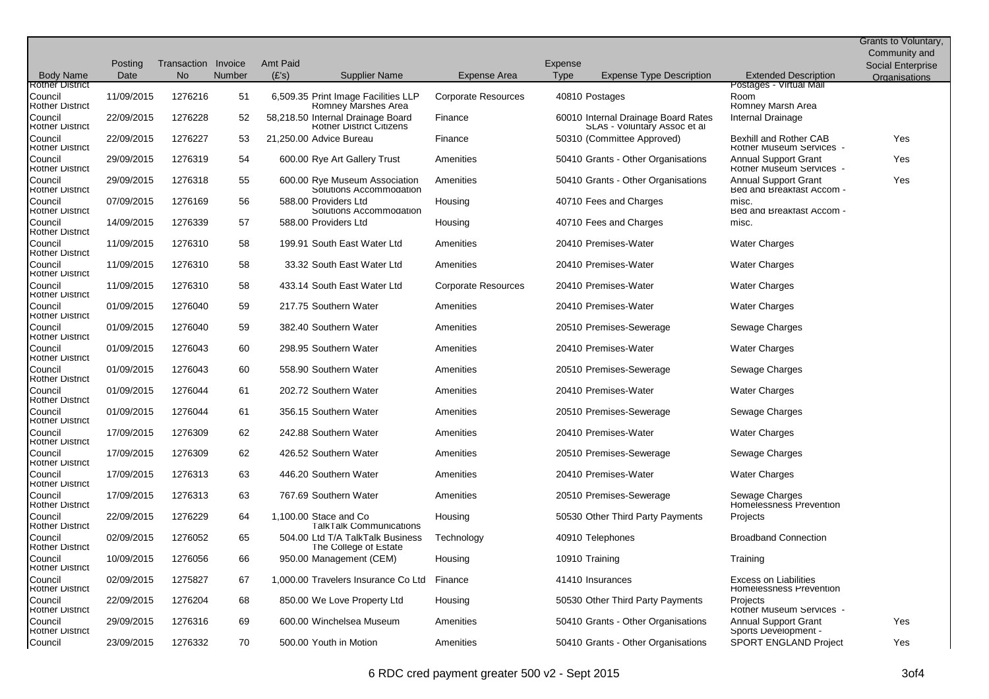|                                            |            |                     |        |                 |                                                                      |                            |             |                                                                     |                                                                  | Grants to Voluntary, |
|--------------------------------------------|------------|---------------------|--------|-----------------|----------------------------------------------------------------------|----------------------------|-------------|---------------------------------------------------------------------|------------------------------------------------------------------|----------------------|
|                                            |            |                     |        |                 |                                                                      |                            |             |                                                                     |                                                                  | Community and        |
|                                            | Posting    | Transaction Invoice |        | <b>Amt Paid</b> |                                                                      |                            | Expense     |                                                                     |                                                                  | Social Enterprise    |
| <b>Body Name</b><br><b>Rother District</b> | Date       | N <sub>o</sub>      | Number | (E's)           | Supplier Name                                                        | Expense Area               | <b>Type</b> | <b>Expense Type Description</b>                                     | <b>Extended Description</b><br>Postages - Virtual Mail           | Organisations        |
| Council<br><b>Rother District</b>          | 11/09/2015 | 1276216             | 51     |                 | 6,509.35 Print Image Facilities LLP<br><b>Romney Marshes Area</b>    | <b>Corporate Resources</b> |             | 40810 Postages                                                      | Room<br><b>Romney Marsh Area</b>                                 |                      |
| Council<br><b>Rother District</b>          | 22/09/2015 | 1276228             | 52     |                 | 58,218.50 Internal Drainage Board<br><b>Rother District Citizens</b> | Finance                    |             | 60010 Internal Drainage Board Rates<br>SLAs - Voluntary Assoc et al | Internal Drainage                                                |                      |
| Council<br><b>Rother District</b>          | 22/09/2015 | 1276227             | 53     |                 | 21,250.00 Advice Bureau                                              | Finance                    |             | 50310 (Committee Approved)                                          | <b>Bexhill and Rother CAB</b><br><b>Rother Museum Services -</b> | Yes                  |
| Council<br><b>Rother District</b>          | 29/09/2015 | 1276319             | 54     |                 | 600.00 Rye Art Gallery Trust                                         | Amenities                  |             | 50410 Grants - Other Organisations                                  | Annual Support Grant<br><b>Rother Museum Services</b>            | Yes                  |
| Council<br><b>Rother District</b>          | 29/09/2015 | 1276318             | 55     |                 | 600.00 Rye Museum Association<br>Solutions Accommodation             | Amenities                  |             | 50410 Grants - Other Organisations                                  | <b>Annual Support Grant</b><br>Bed and Breakfast Accom -         | Yes                  |
| Council<br><b>Rother District</b>          | 07/09/2015 | 1276169             | 56     |                 | 588.00 Providers Ltd<br>Solutions Accommodation                      | Housing                    |             | 40710 Fees and Charges                                              | misc.<br>Bed and Breakfast Accom -                               |                      |
| Council<br><b>Rother District</b>          | 14/09/2015 | 1276339             | 57     |                 | 588.00 Providers Ltd                                                 | Housing                    |             | 40710 Fees and Charges                                              | misc.                                                            |                      |
| Council<br><b>Rother District</b>          | 11/09/2015 | 1276310             | 58     |                 | 199.91 South East Water Ltd                                          | Amenities                  |             | 20410 Premises-Water                                                | <b>Water Charges</b>                                             |                      |
| Council<br><b>Rother District</b>          | 11/09/2015 | 1276310             | 58     |                 | 33.32 South East Water Ltd                                           | Amenities                  |             | 20410 Premises-Water                                                | <b>Water Charges</b>                                             |                      |
| Council<br><b>Rother District</b>          | 11/09/2015 | 1276310             | 58     |                 | 433.14 South East Water Ltd                                          | <b>Corporate Resources</b> |             | 20410 Premises-Water                                                | <b>Water Charges</b>                                             |                      |
| Council<br><b>Rother District</b>          | 01/09/2015 | 1276040             | 59     |                 | 217.75 Southern Water                                                | Amenities                  |             | 20410 Premises-Water                                                | <b>Water Charges</b>                                             |                      |
| Council<br><b>Rother District</b>          | 01/09/2015 | 1276040             | 59     |                 | 382.40 Southern Water                                                | Amenities                  |             | 20510 Premises-Sewerage                                             | Sewage Charges                                                   |                      |
| Council<br><b>Rother District</b>          | 01/09/2015 | 1276043             | 60     |                 | 298.95 Southern Water                                                | Amenities                  |             | 20410 Premises-Water                                                | <b>Water Charges</b>                                             |                      |
| Council<br><b>Rother District</b>          | 01/09/2015 | 1276043             | 60     |                 | 558.90 Southern Water                                                | Amenities                  |             | 20510 Premises-Sewerage                                             | Sewage Charges                                                   |                      |
| Council<br><b>Rother District</b>          | 01/09/2015 | 1276044             | 61     |                 | 202.72 Southern Water                                                | Amenities                  |             | 20410 Premises-Water                                                | <b>Water Charges</b>                                             |                      |
| Council<br><b>Rother District</b>          | 01/09/2015 | 1276044             | 61     |                 | 356.15 Southern Water                                                | Amenities                  |             | 20510 Premises-Sewerage                                             | Sewage Charges                                                   |                      |
| Council<br><b>Rother District</b>          | 17/09/2015 | 1276309             | 62     |                 | 242.88 Southern Water                                                | Amenities                  |             | 20410 Premises-Water                                                | <b>Water Charges</b>                                             |                      |
| Council<br><b>Rother District</b>          | 17/09/2015 | 1276309             | 62     |                 | 426.52 Southern Water                                                | Amenities                  |             | 20510 Premises-Sewerage                                             | Sewage Charges                                                   |                      |
| Council<br><b>Rother District</b>          | 17/09/2015 | 1276313             | 63     |                 | 446.20 Southern Water                                                | Amenities                  |             | 20410 Premises-Water                                                | <b>Water Charges</b>                                             |                      |
| Council<br><b>Rother District</b>          | 17/09/2015 | 1276313             | 63     |                 | 767.69 Southern Water                                                | Amenities                  |             | 20510 Premises-Sewerage                                             | Sewage Charges<br>Homelessness Prevention                        |                      |
| Council<br><b>Rother District</b>          | 22/09/2015 | 1276229             | 64     |                 | 1,100.00 Stace and Co<br><b>Talk Talk Communications</b>             | Housing                    |             | 50530 Other Third Party Payments                                    | Projects                                                         |                      |
| Council<br><b>Rother District</b>          | 02/09/2015 | 1276052             | 65     |                 | 504.00 Ltd T/A TalkTalk Business<br>The College of Estate            | Technology                 |             | 40910 Telephones                                                    | <b>Broadband Connection</b>                                      |                      |
| Council<br><b>Rother District</b>          | 10/09/2015 | 1276056             | 66     |                 | 950.00 Management (CEM)                                              | Housing                    |             | 10910 Training                                                      | Training                                                         |                      |
| Council<br><b>Rother District</b>          | 02/09/2015 | 1275827             | 67     |                 | 1,000.00 Travelers Insurance Co Ltd                                  | Finance                    |             | 41410 Insurances                                                    | <b>Excess on Liabilities</b><br><b>Homelessness Prevention</b>   |                      |
| Council<br><b>Rother District</b>          | 22/09/2015 | 1276204             | 68     |                 | 850.00 We Love Property Ltd                                          | Housing                    |             | 50530 Other Third Party Payments                                    | Projects<br><b>Rother Museum Services -</b>                      |                      |
| Council<br><b>Rother District</b>          | 29/09/2015 | 1276316             | 69     |                 | 600.00 Winchelsea Museum                                             | Amenities                  |             | 50410 Grants - Other Organisations                                  | <b>Annual Support Grant</b><br>Sports Development -              | Yes                  |
| Council                                    | 23/09/2015 | 1276332             | 70     |                 | 500.00 Youth in Motion                                               | Amenities                  |             | 50410 Grants - Other Organisations                                  | <b>SPORT ENGLAND Project</b>                                     | Yes                  |